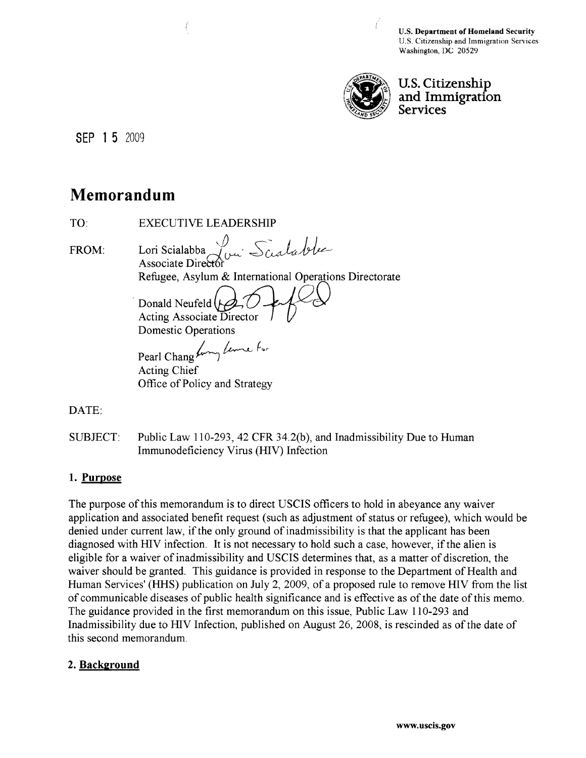U.S. Department of Homeland Security U.S. Citizenship and Immigration Services Washington, DC 20529



U.S. Citizenship and Immigration **Services** 

SEP 1 5 2009

# **Memorandum**

| TO:          | EXECUTIVE LEADERSI                                                                                                                             |
|--------------|------------------------------------------------------------------------------------------------------------------------------------------------|
| <b>FROM:</b> | Lori Scialabba Juni Scialable<br>Refugee, Asylum & International Operations Directorate<br>Donald Neufeld (A, O -<br>Acting Associate Director |
|              | Domestic Operations<br>Pearl Chang funny Lime for<br>Acting Chief<br>Office of Policy and Strategy                                             |

DATE:

SUBJECT: Public Law 110-293,42 CFR 34.2(b), and Inadmissibility Due to Human Immunodeficiency Virus (HIV) Infection

## 1. Purpose

The purpose of this memorandum is to direct USCIS officers to hold in abeyance any waiver application and associated benefit request (such as adjustment of status or refugee), which would be denied under current law, if the only ground of inadmissibility is that the applicant has been diagnosed with HIV infection. It is not necessary to hold such a case, however, if the alien is eligible for a waiver of inadmissibility and USCIS determines that, as a matter of discretion, the waiver should be granted. This guidance is provided in response to the Department of Health and Human Services' (HHS) publication on July 2, 2009, of a proposed rule to remove HIV from the list of communicable diseases of public health significance and is effective as of the date of this memo. The guidance provided in the first memorandum on this issue, Public Law 110-293 and Inadmissibility due to HIV Infection, published on August 26, 2008, is rescinded as of the date of this second memorandum.

## 2. Background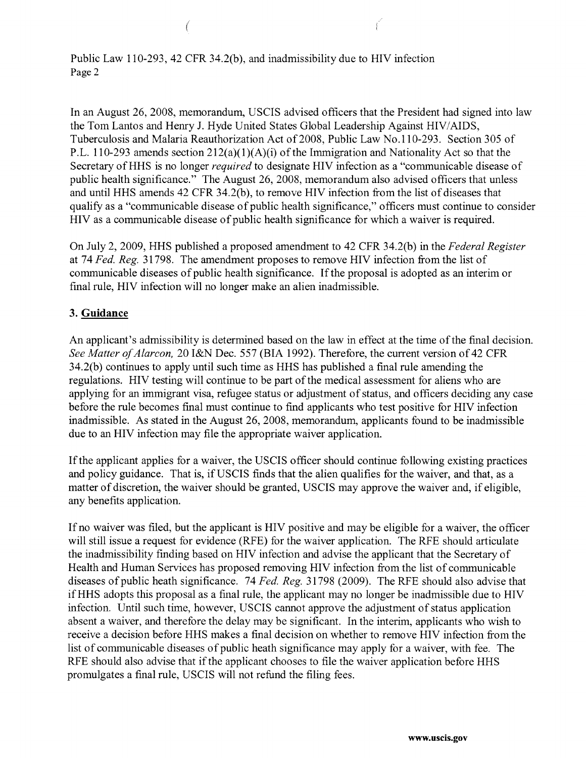Public Law 110-293,42 CFR 34.2(b), and inadmissibility due to HIV infection Page 2

(

In an August 26, 2008, memorandum, USCIS advised officers that the President had signed into law the Tom Lantos and Henry 1. Hyde United States Global Leadership Against HIV/AIDS, Tuberculosis and Malaria Reauthorization Act of2008, Public Law No.110-293. Section 305 of P.L. 110-293 amends section  $212(a)(1)(A)(i)$  of the Immigration and Nationality Act so that the Secretary ofHHS is no longer *required* to designate HIV infection as a "communicable disease of public health significance." The August 26,2008, memorandum also advised officers that unless and until HHS amends 42 CFR 34.2(b), to remove HIV infection from the list of diseases that qualify as a "communicable disease of public health significance," officers must continue to consider HIV as a communicable disease of public health significance for which a waiver is required.

On July 2,2009, HHS published a proposed amendment to 42 CFR 34.2(b) in the *Federal Register*  at 74 *Fed. Reg.* 31798. The amendment proposes to remove HIV infection from the list of communicable diseases of public health significance. If the proposal is adopted as an interim or fmal rule, HIV infection will no longer make an alien inadmissible.

### **3. Guidance**

An applicant's admissibility is determined based on the law in effect at the time of the final decision. *See Matter of Alarcon,* 20 I&N Dec. 557 (BIA 1992). Therefore, the current version of 42 CFR 34.2(b) continues to apply until such time as HHS has published a final rule amending the regulations. HIV testing will continue to be part of the medical assessment for aliens who are applying for an immigrant visa, refugee status or adjustment of status, and officers deciding any case before the rule becomes final must continue to find applicants who test positive for HIV infection inadmissible. As stated in the August 26, 2008, memorandum, applicants found to be inadmissible due to an HIV infection may file the appropriate waiver application.

If the applicant applies for a waiver, the USCIS officer should continue following existing practices and policy guidance. That is, if USCIS finds that the alien qualifies for the waiver, and that, as a matter of discretion, the waiver should be granted, USCIS may approve the waiver and, if eligible, any benefits application.

If no waiver was filed, but the applicant is HIV positive and may be eligible for a waiver, the officer will still issue a request for evidence (RFE) for the waiver application. The RFE should articulate the inadmissibility fmding based on HIV infection and advise the applicant that the Secretary of Health and Human Services has proposed removing HIV infection from the list of communicable diseases of public heath significance. 74 *Fed. Reg.* 31798 (2009). The RFE should also advise that ifHHS adopts this proposal as a final rule, the applicant may no longer be inadmissible due to HIV infection. Until such time, however, USCIS cannot approve the adjustment of status application absent a waiver, and therefore the delay may be significant. In the interim, applicants who wish to receive a decision before HHS makes a final decision on whether to remove HIV infection from the list of communicable diseases of public heath significance may apply for a waiver, with fee. The RFE should also advise that if the applicant chooses to file the waiver application before HHS promulgates a final rule, USCIS will not refund the filing fees.

**www.uscis.gov**